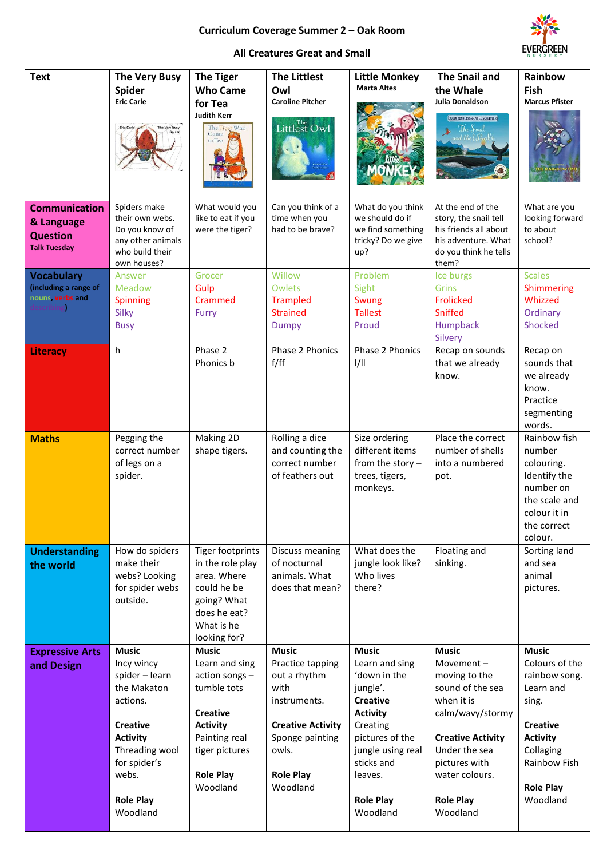## **Curriculum Coverage Summer 2 – Oak Room**



## **All Creatures Great and Small**

| <b>Text</b>                                                                   | <b>The Very Busy</b><br><b>Spider</b><br><b>Eric Carle</b>                                                                                                                               | <b>The Tiger</b><br><b>Who Came</b><br>for Tea<br><b>Judith Kerr</b><br>The Tiger Who<br>Came<br>to Tea                                                                  | <b>The Littlest</b><br>Owl<br><b>Caroline Pitcher</b><br>Littlest Owl                                                                                            | <b>Little Monkey</b><br><b>Marta Altes</b>                                                                                                                                                                    | <b>The Snail and</b><br>the Whale<br>Julia Donaldson<br>JULIA DONALDSON - AXEL SCHEFFLER<br>The Snail<br>and the Uhale.                                                                                          | Rainbow<br>Fish<br><b>Marcus Pfister</b>                                                                                                                                 |
|-------------------------------------------------------------------------------|------------------------------------------------------------------------------------------------------------------------------------------------------------------------------------------|--------------------------------------------------------------------------------------------------------------------------------------------------------------------------|------------------------------------------------------------------------------------------------------------------------------------------------------------------|---------------------------------------------------------------------------------------------------------------------------------------------------------------------------------------------------------------|------------------------------------------------------------------------------------------------------------------------------------------------------------------------------------------------------------------|--------------------------------------------------------------------------------------------------------------------------------------------------------------------------|
| <b>Communication</b><br>& Language<br><b>Question</b><br><b>Talk Tuesday</b>  | Spiders make<br>their own webs.<br>Do you know of<br>any other animals<br>who build their<br>own houses?                                                                                 | What would you<br>like to eat if you<br>were the tiger?                                                                                                                  | Can you think of a<br>time when you<br>had to be brave?                                                                                                          | What do you think<br>we should do if<br>we find something<br>tricky? Do we give<br>up?                                                                                                                        | At the end of the<br>story, the snail tell<br>his friends all about<br>his adventure. What<br>do you think he tells<br>them?                                                                                     | What are you<br>looking forward<br>to about<br>school?                                                                                                                   |
| <b>Vocabulary</b><br>(including a range of<br>nouns, verbs and<br>describing) | Answer<br>Meadow<br>Spinning<br>Silky<br><b>Busy</b>                                                                                                                                     | Grocer<br>Gulp<br>Crammed<br>Furry                                                                                                                                       | Willow<br>Owlets<br><b>Trampled</b><br><b>Strained</b><br><b>Dumpy</b>                                                                                           | Problem<br>Sight<br>Swung<br><b>Tallest</b><br>Proud                                                                                                                                                          | Ice burgs<br><b>Grins</b><br><b>Frolicked</b><br><b>Sniffed</b><br>Humpback<br>Silvery                                                                                                                           | <b>Scales</b><br><b>Shimmering</b><br>Whizzed<br>Ordinary<br><b>Shocked</b>                                                                                              |
| <b>Literacy</b>                                                               | h                                                                                                                                                                                        | Phase 2<br>Phonics b                                                                                                                                                     | Phase 2 Phonics<br>f/ff                                                                                                                                          | Phase 2 Phonics<br>1/11                                                                                                                                                                                       | Recap on sounds<br>that we already<br>know.                                                                                                                                                                      | Recap on<br>sounds that<br>we already<br>know.<br>Practice<br>segmenting<br>words.                                                                                       |
| <b>Maths</b>                                                                  | Pegging the<br>correct number<br>of legs on a<br>spider.                                                                                                                                 | Making 2D<br>shape tigers.                                                                                                                                               | Rolling a dice<br>and counting the<br>correct number<br>of feathers out                                                                                          | Size ordering<br>different items<br>from the story $-$<br>trees, tigers,<br>monkeys.                                                                                                                          | Place the correct<br>number of shells<br>into a numbered<br>pot.                                                                                                                                                 | Rainbow fish<br>number<br>colouring.<br>Identify the<br>number on<br>the scale and<br>colour it in<br>the correct<br>colour.                                             |
| <b>Understanding</b><br>the world                                             | How do spiders<br>make their<br>webs? Looking<br>for spider webs<br>outside.                                                                                                             | <b>Tiger footprints</b><br>in the role play<br>area. Where<br>could he be<br>going? What<br>does he eat?<br>What is he<br>looking for?                                   | Discuss meaning<br>of nocturnal<br>animals. What<br>does that mean?                                                                                              | What does the<br>jungle look like?<br>Who lives<br>there?                                                                                                                                                     | Floating and<br>sinking.                                                                                                                                                                                         | Sorting land<br>and sea<br>animal<br>pictures.                                                                                                                           |
| <b>Expressive Arts</b><br>and Design                                          | <b>Music</b><br>Incy wincy<br>spider - learn<br>the Makaton<br>actions.<br><b>Creative</b><br><b>Activity</b><br>Threading wool<br>for spider's<br>webs.<br><b>Role Play</b><br>Woodland | <b>Music</b><br>Learn and sing<br>action songs -<br>tumble tots<br><b>Creative</b><br><b>Activity</b><br>Painting real<br>tiger pictures<br><b>Role Play</b><br>Woodland | <b>Music</b><br>Practice tapping<br>out a rhythm<br>with<br>instruments.<br><b>Creative Activity</b><br>Sponge painting<br>owls.<br><b>Role Play</b><br>Woodland | <b>Music</b><br>Learn and sing<br>'down in the<br>jungle'.<br><b>Creative</b><br><b>Activity</b><br>Creating<br>pictures of the<br>jungle using real<br>sticks and<br>leaves.<br><b>Role Play</b><br>Woodland | <b>Music</b><br>Movement-<br>moving to the<br>sound of the sea<br>when it is<br>calm/wavy/stormy<br><b>Creative Activity</b><br>Under the sea<br>pictures with<br>water colours.<br><b>Role Play</b><br>Woodland | <b>Music</b><br>Colours of the<br>rainbow song.<br>Learn and<br>sing.<br><b>Creative</b><br><b>Activity</b><br>Collaging<br>Rainbow Fish<br><b>Role Play</b><br>Woodland |